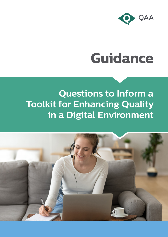

# **Guidance**

# **Questions to Inform a Toolkit for Enhancing Quality in a Digital Environment**

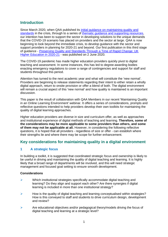### **Introduction**

Since March 2020, when QAA published its [initial guidance on maintaining quality and](https://www.qaa.ac.uk/docs/qaa/guidance/covid-19-initial-guidance-for-providers.pdf)  [standards](https://www.qaa.ac.uk/docs/qaa/guidance/covid-19-initial-guidance-for-providers.pdf) in the crisis, through to a series of thematic guidance and supporting resources. our intention has been to support the sector in developing solutions to the unique demands that the COVID-19 scenario has placed on providers and the sector at large. QAA is now beginning to look beyond the immediate crisis, to develop guidance with the sector and support providers in planning for 2020-21 and beyond. Our first publication in this third stage of guidance - [Preserving Quality and Standards Through a Time of Rapid Change: UK](https://www.qaa.ac.uk/docs/qaa/guidance/preserving-quality-and-standards-through-a-time-of-rapid-change.pdf?sfvrsn=6a1dcc81_8)  [Higher Education in 2020-21](https://www.qaa.ac.uk/docs/qaa/guidance/preserving-quality-and-standards-through-a-time-of-rapid-change.pdf?sfvrsn=6a1dcc81_8) - was published on 2 June 2020.

The COVID-19 pandemic has made higher education providers quickly pivot to digital teaching and assessment. In some instances, this has led to degree-awarding bodies enacting emergency regulations to cover a range of contingencies and support for staff and students throughout this period.

Attention has turned to the next academic year and what will constitute the 'new normal'. Providers are beginning to release statements regarding their intent to either retain a wholly digital approach, return to onsite provision or offer a blend of both. The digital environment will remain a crucial aspect of this 'new normal' and how quality is maintained is an important discussion.

This paper is the result of collaboration with QAA Members in our recent 'Maintaining Quality in an Online Learning Environment' webinar. It offers a series of considerations, prompts and reflective questions intended to help providers develop their own toolkits for maintaining the quality of digital learning approaches.

Higher education providers are diverse in size and curriculum offer, as well as approaches and institutional experience of digital methods of teaching and learning. **Therefore, some of the considerations may be more applicable to some providers than others, and some of them may not be applicable at all.** However, in considering the following reflective questions, it is hoped that all providers - regardless of size or offer - can establish where their strengths lie and where there may be scope for further enhancement.

## **Key considerations for maintaining quality in a digital environment**

#### **1 A strategic focus**

In building a toolkit, it is suggested that coordinated strategic focus and ownership is likely to be useful in driving and maintaining the quality of digital teaching and learning. It is highly likely that a broad range of departments will be involved, and this will need strategic management and focused goal setting to ensure smooth development.

- ➢ Which institutional strategies specifically accommodate digital teaching and learning? Do they align and support each other? Are there synergies if digital learning is included in more than one institutional strategy?
- $\triangleright$  How is the quality of digital teaching and learning conceptualised within strategies? How is this conveyed to staff and students to drive curriculum design, development and review?
- $\triangleright$  Are educational objectives and/or pedagogical theory/models driving the focus of digital teaching and learning at a strategic level?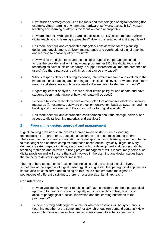- $\triangleright$  How much do strategies focus on the tools and technologies of digital teaching (for example, virtual learning environment, hardware, software, accessibility), versus teaching and learning quality? Is the focus on each appropriate?
- $\triangleright$  How are students with specific learning difficulties (SpLD) accommodated within digital teaching and learning approaches? How is this enabled at a strategic level?
- $\triangleright$  Has there been full and coordinated budgetary consideration for the planning. design and development, delivery, maintenance and overheads of digital teaching and learning to enable quality provision?
- $\triangleright$  How well do the digital tools and technologies support the pedagogies used across the provider and within individual programmes? Do the digital tools and technologies have sufficient capacity to support increased volume and presence of users? Are there particular peak times that can be envisaged?
- $\triangleright$  Who is responsible for collecting evidence, interpreting research and evaluating the impact of digital teaching and learning at an institutional level? How does this inform institutional strategies and how are results disseminated to staff and students?
- $\triangleright$  Regarding learner analytics, is there a clear ethics policy for use of data and have students been made aware of how their data will be used?
- $\triangleright$  Is there a fail-safe technology development plan that addresses electronic security measures (for example, password protection, encryption, back-up systems) and the building and maintenance of the infrastructure for digital education?
- $\triangleright$  Has there been full and coordinated consideration about the storage, delivery and access to digital learning materials and activities?

#### **2 Programme design, approval and management**

Digital learning provision often involves a broad range of staff, such as learning technologists, IT departments, educational designers and academics among others. Therefore, the planning and coordination of digital approaches to learning have the potential to take longer and be more complex than those based onsite. Typically, digital delivery demands greater preparation time, associated with the development and design of digital teaching materials and activities. Strong project management will support timely delivery of digital provision and will ensure that staff involved in the planning and design stages have the capacity to deliver in specified timescales.

There can be a temptation to focus on technologies and the tools of digital delivery, sometimes at the expense of digital pedagogy. It is suggested that pedagogical approaches should also be considered and thinking on this issue could embrace the signature pedagogies of different disciplines; there is not a one-size-fits-all approach.

- $\triangleright$  How do you identify whether teaching staff have considered the best pedagogical approach for teaching students digitally and in a specific context, taking into account pedagogical practice, innovation and the learning outcomes of the programme?
- $\triangleright$  Is there a strong pedagogic rationale for whether sessions will be synchronous (learning together at the same time) or asynchronous (on-demand content)? How do synchronous and asynchronous activities interact to enhance learning?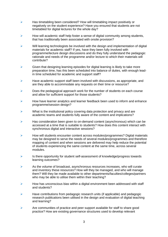- $\triangleright$  Has timetabling been considered? How will timetabling impact positively or negatively on the student experience? Have you ensured that students are not timetabled for digital lectures for the whole day?
- $\triangleright$  How will academic staff help foster a sense of digital community among students, that has traditionally been associated with onsite provision?
- $\triangleright$  Will learning technologists be involved with the design and implementation of digital materials for academic staff? If yes, have they been fully involved with programme/lecture design discussions and do they fully understand the pedagogic rationale and needs of the programme and/or lecture to which their materials will contribute?
- $\triangleright$  Given that designing learning episodes for digital learning is likely to take more preparation time, has this been scheduled into balance of duties, with enough leadin time scheduled for academic and support staff?
- $\triangleright$  Have academic support staff been involved with discussions, as appropriate, and are they able to accommodate any requests on their time or resource?
- $\triangleright$  Does the pedagogical approach work for the number of students on each course and allow for sufficient support for those students?
- How have learner analytics and learner feedback been used to inform and enhance programme/session design?
- $\triangleright$  What is the institutional policy covering data protection and privacy and are academic teams and students fully aware of the content and implications?
- ➢ Has consideration been given to on-demand content (asynchronous) which can be accessed at a time that is suitable to students? How does this content interact with synchronous digital and interactive sessions?
- $\triangleright$  How will students encounter content across modules/programmes? Digital materials may be designed to serve the needs of several modules/programmes and therefore mapping of content and when sessions are delivered may help reduce the potential of students experiencing the same content at the same time, across several modules.
- ➢ Is there opportunity for student self-assessment of knowledge/progress towards learning outcomes?
- $\triangleright$  As the volume of broadcast, asynchronous resources increases, who will curate and inventory these resources? How will they be managed, and who will manage them? Will they be made available to other departments/faculties/colleges/partners who may be able to utilise them within their teaching?
- $\triangleright$  How has unconscious bias within a digital environment been addressed with staff and students?
- $\triangleright$  Have contributions from pedagogic research units (if applicable) and pedagogic research publications been utilised in the design and evaluation of digital teaching and learning?
- $\triangleright$  Are communities of practice and peer support available for staff to share good practice? How are existing governance structures used to develop relevant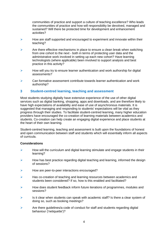communities of practice and support a culture of teaching excellence? Who leads the communities of practice and how will responsibility be devolved, managed and sustained? Will there be protected time for development and enhancement activities?

- $\triangleright$  How are staff supported and encouraged to experiment and innovate within their teaching?
- $\triangleright$  Are there effective mechanisms in place to ensure a clean break when switching from one cohort to the next - both in terms of protecting user data and the administrative work involved in setting up each new cohort? Have learning technologists (where applicable) been involved to support analysis and best practice in this activity?
- $\triangleright$  How will you try to ensure learner authentication and work authorship for digital assessments?
- ➢ Can formative assessment contribute towards learner authentication and work authorship?

#### **3 Student-centred learning, teaching and assessment**

Most students studying digitally have extensive experience of the use of other digital services such as digital banking, shopping, apps and downloads, and are therefore likely to have high expectations of availability and ease of use of asynchronous materials. It is suggested that managing and responding to students' expectations will be vital as they progress through their studies. To facilitate student-centred learning, many higher education providers have encouraged the co-creation of learning materials between academics and students. Co-creation can help create an engaging digital experience and place students at the heart of their own learning.

Student-centred learning, teaching and assessment is built upon the foundations of honest and open communication between staff and students which will essentially inform all aspects of curricula.

- $\triangleright$  How will the curriculum and digital learning stimulate and engage students in their learning?
- $\triangleright$  How has best practice regarding digital teaching and learning, informed the design of sessions?
- ➢ How are peer-to-peer interactions encouraged?
- $\triangleright$  Has co-creation of teaching and learning resources between academics and students been considered? If so, how is this enabled and facilitated?
- $\triangleright$  How does student feedback inform future iterations of programmes, modules and sessions?
- $\triangleright$  Is it clear when students can speak with academic staff? Is there a clear system of doing so, such as booking meetings?
- $\triangleright$  Are there guidelines/a code of conduct for staff and students regarding digital behaviour ('netiquette')?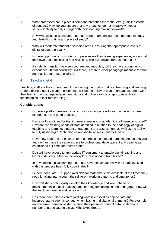- $\triangleright$  What processes are in place if someone breaches the 'netiquette' quidelines/code of conduct? How do you ensure that any breaches do not negatively impact students' ability to fully engage with their learning moving forwards?
- $\triangleright$  How will digital sessions and materials support and encourage independent study and flexibility in time and place of study?
- $\triangleright$  Who will moderate student discussion areas, ensuring that appropriate levels of digital etiquette prevail?
- $\triangleright$  Is there opportunity for students to personalise their learning experience, working at their own pace, accessing and revisiting, bite-size asynchronous materials?
- $\triangleright$  If students transition between courses and modules, will they have a continuity of experience? If that continuity isn't there, is there a clear pedagogic rationale for that and has it been made explicit?

#### **4 Teaching staff**

Teaching staff are the cornerstone of maintaining the quality of digital teaching and learning. Underpinning a quality student experience will be the ability of staff to engage students with their learning, encourage independent study and utilise a range of appropriate digital technologies to facilitate learning.

- $\triangleright$  Is there a platform/means by which staff can engage with each other and share experiences and good practice?
- $\triangleright$  Has a skills audit and/or training needs analysis of academic staff been conducted? How are the training needs of staff identified in relation to the pedagogy of digital teaching and learning, student engagement and assessment, as well as the ability to fully utilise digital technologies and digital assessment methods?
- $\triangleright$  Have new staff or staff on short term contracts, conducted a training needs analysis and do they have the same access to professional development and training as established full-time contracted staff?
- $\triangleright$  Do staff have access to appropriate IT equipment to enable digital teaching and learning delivery, either in the workplace or if working from home?
- $\triangleright$  In developing digital learning materials, have conversations with all staff involved with this process been fully coordinated?
- Is there adequate IT support available for staff and is this available at the times they need it, taking into account their different working patterns and time zones?
- How will staff continuously develop their knowledge and keep ahead of developments in digital teaching and learning technologies and pedagogy? How will the institution enable and facilitate this?
- $\triangleright$  Has there been discussion regarding what is classed as appropriate and inappropriate academic conduct when liaising in digital environments? For example, an academic member of staff sharing their personal contact details/telephone number to participate in a class WhatsApp group.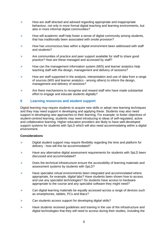- $\triangleright$  How are staff directed and advised regarding appropriate and inappropriate behaviour, not only in more formal digital teaching and learning environments, but also in more informal digital communities?
- $\triangleright$  How will academic staff help foster a sense of digital community among students, that has traditionally been associated with onsite provision?
- $\triangleright$  How has unconscious bias within a digital environment been addressed with staff and students?
- $\triangleright$  Are communities of practice and peer support available for staff to share good practice? How are these managed and accessed by staff?
- $\triangleright$  How can the management information system (MIS) and learner analytics help teaching staff with the design, management and delivery of sessions?
- $\triangleright$  How are staff supported in the analysis, interpretation and use of data from a range of sources (MIS and learner analytics - among others) to inform the design, management and delivery of sessions?
- ➢ Are there mechanisms to recognise and reward staff who have made substantial effort to engage and educate students digitally?

#### **5 Learning resources and student support**

Digital learning may require students to acquire new skills or adopt new learning techniques and they may need support in developing and applying these. Students may also need support in developing new approaches to their learning. For example, to foster objectives of student-centred learning, students may need introducing to ideas of self-regulated, active and collaborative learning. Higher education providers are likely to have well-developed support systems for students with SpLD which will also need accommodating within a digital environment.

- $\triangleright$  Digital student support may require flexibility regarding the time and platform for delivery - how will this be accommodated?
- $\triangleright$  Have any alternative digital assessment requirements for students with SpLD been discussed and accommodated?
- $\triangleright$  Does the technical infrastructure ensure the accessibility of learning materials and assessment systems by students with SpLD?
- $\triangleright$  Have specialist virtual environments been integrated and accommodated where appropriate, for example, digital labs? Have students been shown how to access and use any specialist technologies? Do students have access to hardware appropriate to the course and any specialist software they might need?
- ➢ Can digital learning materials be equally accessed across a range of devices such as smartphones, tablets, PCs and Macs?
- $\triangleright$  Can students access support for developing digital skills?
- ➢ Have students received guidelines and training in the use of the infrastructure and digital technologies that they will need to access during their studies, including the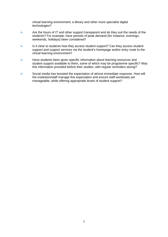virtual learning environment, e-library and other more specialist digital technologies?

- $\triangleright$  Are the hours of IT and other support transparent and do they suit the needs of the students? For example, have periods of peak demand (for instance, evenings, weekends, holidays) been considered?
- $\triangleright$  Is it clear to students how they access student support? Can they access student support and support services via the student's homepage and/or entry route to the virtual learning environment?
- ➢ Have students been given specific information about learning resources and student support available to them, some of which may be programme specific? Was this information provided before their studies, with regular reminders during?
- ➢ Social media has boosted the expectation of almost immediate response. How will the institution/staff manage this expectation and ensure staff workloads are manageable, while offering appropriate levels of student support?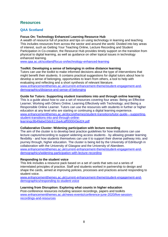# **Resources**

#### **QAA Scotland**

#### **Focus On: Technology Enhanced Learning Resource Hub**

A wealth of resource full of practice and tips on using technology in learning and teaching. This includes resources from across the sector and around the world. Divided into key areas of interest, such as Getting Your Teaching Online, Lecture Recording and Student Participation in Co-creation, the Resource Hub provides timely support on the transition from physical to digital learning, as well as guidance on other topical issues in technology enhanced learning.

[www.qaa.ac.uk/scotland/focus-on/technology-enhanced-learning](https://www.qaa.ac.uk/scotland/focus-on/technology-enhanced-learning)

#### **Toolkit: Developing a sense of belonging in online distance learning**

Tutors can use the toolkit to make informed decisions about the type of interventions that might benefit their students. It contains practical suggestions for digital tutors about how to develop a sense of belonging, opportunities to learn from others, a tool to help with evaluating and reflecting and a short synthesis of relevant literature. [www.enhancementthemes.ac.uk/current-enhancement-theme/student-engagement-and](https://www.enhancementthemes.ac.uk/current-enhancement-theme/student-engagement-and-demographics/distance-and-sense-of-belonging)[demographics/distance-and-sense-of-belonging](https://www.enhancementthemes.ac.uk/current-enhancement-theme/student-engagement-and-demographics/distance-and-sense-of-belonging)

#### **Guide for Tutors: Supporting student transitions into and through online learning**

This is a guide about how to use a set of resources covering four areas: Being an Effective Learner; Working with Others Online; Learning Effectively with Technology; and Being a Responsible Online Learner. Tutors can use the resources with students in further or higher education at any level who are starting or continuing a digital learning experience. [www.enhancementthemes.ac.uk/docs/ethemes/student-transitions/tutor-guide---supporting](https://www.enhancementthemes.ac.uk/docs/ethemes/student-transitions/tutor-guide---supporting-student-transitions-into-and-through-online-learningc8b49abe03dc611ba4caff000043ed24.pdf)[student-transitions-into-and-through-online](https://www.enhancementthemes.ac.uk/docs/ethemes/student-transitions/tutor-guide---supporting-student-transitions-into-and-through-online-learningc8b49abe03dc611ba4caff000043ed24.pdf)[learningc8b49abe03dc611ba4caff000043ed24.pdf](https://www.enhancementthemes.ac.uk/docs/ethemes/student-transitions/tutor-guide---supporting-student-transitions-into-and-through-online-learningc8b49abe03dc611ba4caff000043ed24.pdf)

#### **Collaborative Cluster: Widening participation with lecture recording**

The aim of the cluster is to develop best practice guidelines for how institutions can use lecture capture/recording to support widening access students - by allowing greater learning flexibility - and how students themselves can use it to support their diverse pathway into, and journey through, higher education. The cluster is being led by the University of Edinburgh in collaboration with the University of Glasgow and the University of Aberdeen. [www.enhancementthemes.ac.uk/current-enhancement-theme/student-engagement-and](https://www.enhancementthemes.ac.uk/current-enhancement-theme/student-engagement-and-demographics/widening-participation-with-lecture-recording)[demographics/widening-participation-with-lecture-recording](https://www.enhancementthemes.ac.uk/current-enhancement-theme/student-engagement-and-demographics/widening-participation-with-lecture-recording)

#### **Responding to the student voice**

This link includes a resource pack based on a set of cards that sets out a series of interrelated principles of practice. Staff and students worked in partnership to design and shape the cards, aimed at improving policies, processes and practices around responding to student voice.

[www.enhancementthemes.ac.uk/current-enhancement-theme/student-engagement-and](https://www.enhancementthemes.ac.uk/current-enhancement-theme/student-engagement-and-demographics/responding-to-student-voice)[demographics/responding-to-student-voice](https://www.enhancementthemes.ac.uk/current-enhancement-theme/student-engagement-and-demographics/responding-to-student-voice)

#### **Learning from Disruption: Exploring what counts in higher education**

Post-conference resources including session recordings, papers and toolkits [www.enhancementthemes.ac.uk/news-events/conference-june-2020/live-session](https://www.enhancementthemes.ac.uk/news-events/conference-june-2020/live-session-recordings-and-resources)[recordings-and-resources](https://www.enhancementthemes.ac.uk/news-events/conference-june-2020/live-session-recordings-and-resources)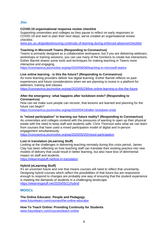#### **Jisc**

#### **COVID-19 organisational response review checklist**

Supporting universities and colleges as they pause to reflect on early responses to COVID-19 and start to plan their next steps, we've created an organisational review checklist.

[www.jisc.ac.uk/guides/ensuring-continuity-of-learning-during-enforced-absence/checklist](https://www.jisc.ac.uk/guides/ensuring-continuity-of-learning-during-enforced-absence/checklist)

#### **Teaching in Microsoft Teams (Responding to Coronavirus)**

Teams is primarily designed as a collaborative workspace, but if you are delivering webinars, workshops or training sessions, you can use many of the functions to create live interactions. Esther Barrett shares some tools and techniques for making teaching in Teams more interactive and engaging.

[https://coronavirus.jiscinvolve.org/wp/2020/06/08/teaching-in-microsoft-teams](https://coronavirus.jiscinvolve.org/wp/2020/06/08/teaching-in-microsoft-teams/)

#### **Live online learning - is this the future? (Responding to Coronavirus)**

As more learning providers deliver live digital learning, Esther Barrett reflects on past experiences and future considerations when we are planning to invest in a platform for webinars, training and classes.

<https://coronavirus.jiscinvolve.org/wp/2020/05/29/live-online-learning-is-this-the-future>

#### **After the emergency: what happens after lockdown ends? (Responding to Coronavirus)**

How can we make sure people can recover, that lessons are learned and planning for the future can begin?

[https://coronavirus.jiscinvolve.org/wp/2020/04/16/after-lockdown-ends](https://coronavirus.jiscinvolve.org/wp/2020/04/16/after-lockdown-ends/)

#### **Is "mixed participation" in learning our future reality? (Responding to Coronavirus)**

As universities and colleges contend with the pressures of wanting to open up their physical estate with the need to keep staff and students safe, Chris Thomson asks what we can learn from courses that have used a mixed participation model of digital and in-person engagement simultaneously.

[https://coronavirus.jiscinvolve.org/wp/2020/05/20/mixed-participation](https://coronavirus.jiscinvolve.org/wp/2020/05/20/mixed-participation/)

#### **Lost in translation (eLearning Stuff)**

Looking at the challenges in delivering teaching remotely during this crisis period, James Clay has been reflecting on how teaching staff can translate their existing practice into new models of delivery that could result in better learning, but also have less of detrimental impact on staff and students.

<https://elearningstuff.net/lost-in-translation>

#### **Hybrid (eLearning Stuff)**

It's an uncertain future and one that means courses will need to reflect that uncertainty. Designing hybrid courses which reflect the possibilities of that future but are responsive enough to respond to changes are probably one way of ensuring that the student experience is meeting the demands of students in a challenging landscape. [https://elearningstuff.net/2020/05/21/hybrid](https://elearningstuff.net/2020/05/21/hybrid/)

#### **MOOCs**

#### **The Online Educator: People and Pedagogy**

[www.futurelearn.com/courses/the-online-educator](https://www.futurelearn.com/courses/the-online-educator)

**How To Teach Online: Providing Continuity for Students**  [www.futurelearn.com/courses/teach-online](https://www.futurelearn.com/courses/teach-online)